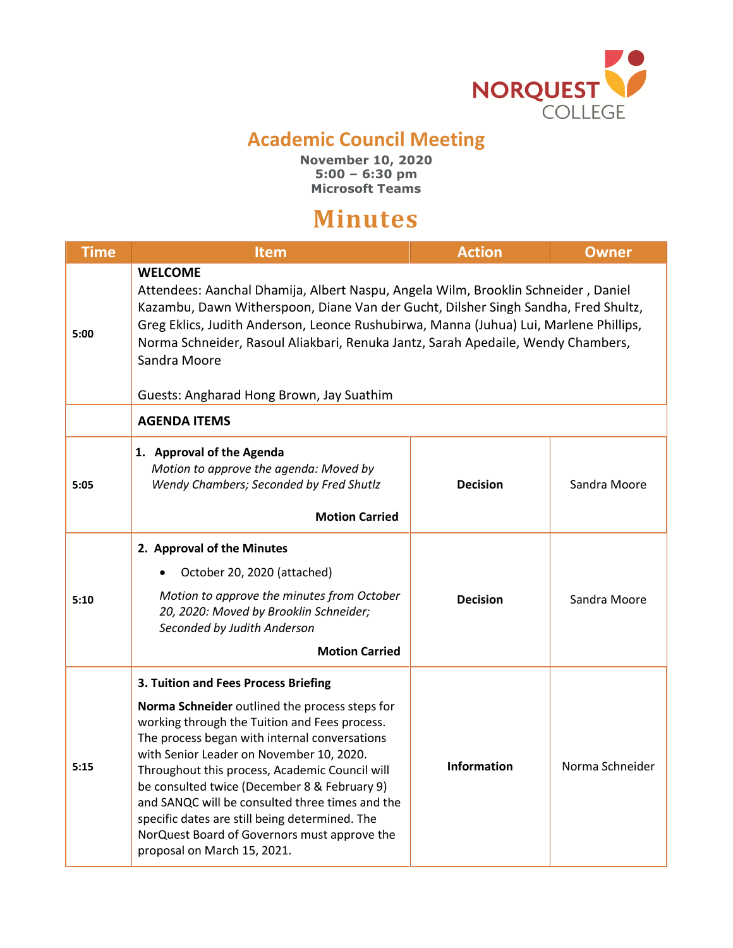

## **Academic Council Meeting**

**November 10, 2020 5:00 – 6:30 pm Microsoft Teams**

## **Minutes**

| <b>Time</b> | Item                                                                                                                                                                                                                                                                                                                                                                                                                                                                                                                       | <b>Action</b>      | <b>Owner</b>    |  |
|-------------|----------------------------------------------------------------------------------------------------------------------------------------------------------------------------------------------------------------------------------------------------------------------------------------------------------------------------------------------------------------------------------------------------------------------------------------------------------------------------------------------------------------------------|--------------------|-----------------|--|
| 5:00        | <b>WELCOME</b><br>Attendees: Aanchal Dhamija, Albert Naspu, Angela Wilm, Brooklin Schneider, Daniel<br>Kazambu, Dawn Witherspoon, Diane Van der Gucht, Dilsher Singh Sandha, Fred Shultz,<br>Greg Eklics, Judith Anderson, Leonce Rushubirwa, Manna (Juhua) Lui, Marlene Phillips,<br>Norma Schneider, Rasoul Aliakbari, Renuka Jantz, Sarah Apedaile, Wendy Chambers,<br>Sandra Moore<br>Guests: Angharad Hong Brown, Jay Suathim                                                                                         |                    |                 |  |
|             | <b>AGENDA ITEMS</b>                                                                                                                                                                                                                                                                                                                                                                                                                                                                                                        |                    |                 |  |
| 5:05        | 1. Approval of the Agenda<br>Motion to approve the agenda: Moved by<br>Wendy Chambers; Seconded by Fred Shutlz<br><b>Motion Carried</b>                                                                                                                                                                                                                                                                                                                                                                                    | <b>Decision</b>    | Sandra Moore    |  |
| 5:10        | 2. Approval of the Minutes<br>October 20, 2020 (attached)<br>$\bullet$<br>Motion to approve the minutes from October<br>20, 2020: Moved by Brooklin Schneider;<br>Seconded by Judith Anderson<br><b>Motion Carried</b>                                                                                                                                                                                                                                                                                                     | <b>Decision</b>    | Sandra Moore    |  |
| 5:15        | 3. Tuition and Fees Process Briefing<br>Norma Schneider outlined the process steps for<br>working through the Tuition and Fees process.<br>The process began with internal conversations<br>with Senior Leader on November 10, 2020.<br>Throughout this process, Academic Council will<br>be consulted twice (December 8 & February 9)<br>and SANQC will be consulted three times and the<br>specific dates are still being determined. The<br>NorQuest Board of Governors must approve the<br>proposal on March 15, 2021. | <b>Information</b> | Norma Schneider |  |